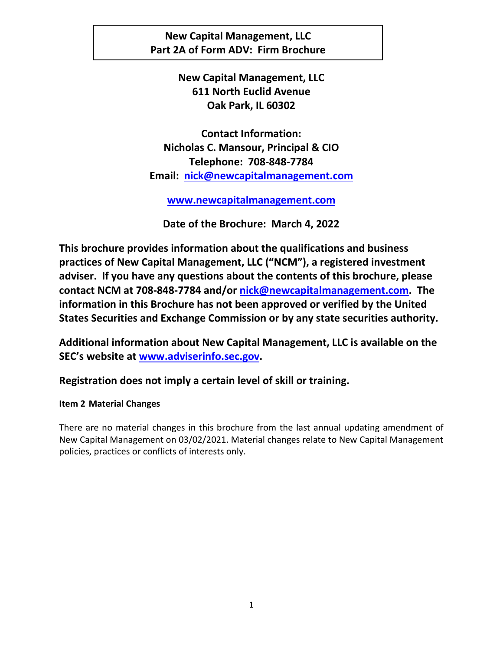# **New Capital Management, LLC Part 2A of Form ADV: Firm Brochure**

**New Capital Management, LLC 611 North Euclid Avenue Oak Park, IL 60302**

**Contact Information: Nicholas C. Mansour, Principal & CIO Telephone: 708-848-7784 Email: [nick@newcapitalmanagement.com](mailto:nick@newcapitalmanagement.com)**

**[www.newcapitalmanagement.com](http://www.newcapitalmanagement.com/)**

**Date of the Brochure: March 4, 2022**

**This brochure provides information about the qualifications and business practices of New Capital Management, LLC ("NCM"), a registered investment adviser. If you have any questions about the contents of this brochure, please contact NCM at 708-848-7784 and/or [nick@newcapitalmanagement.com.](mailto:nick@newcapitalmanagement.com) The information in this Brochure has not been approved or verified by the United States Securities and Exchange Commission or by any state securities authority.**

**Additional information about New Capital Management, LLC is available on the SEC's website at [www.adviserinfo.sec.gov.](http://www.adviserinfo.sec.gov/)** 

**Registration does not imply a certain level of skill or training.**

**Item 2 Material Changes**

There are no material changes in this brochure from the last annual updating amendment of New Capital Management on 03/02/2021. Material changes relate to New Capital Management policies, practices or conflicts of interests only.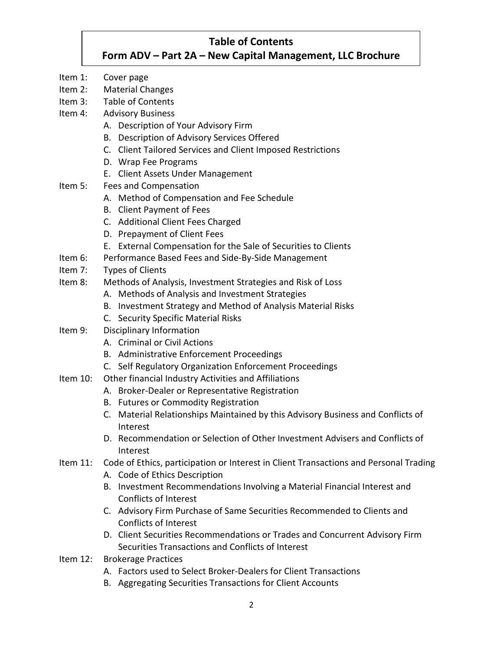## **Table of Contents**

## **Form ADV – Part 2A – New Capital Management, LLC Brochure**

- Item 1: Cover page
- Item 2: Material Changes
- Item 3: Table of Contents
- Item 4: Advisory Business
	- A. Description of Your Advisory Firm
	- B. Description of Advisory Services Offered
	- C. Client Tailored Services and Client Imposed Restrictions
	- D. Wrap Fee Programs
	- E. Client Assets Under Management
- Item 5: Fees and Compensation
	- A. Method of Compensation and Fee Schedule
	- B. Client Payment of Fees
	- C. Additional Client Fees Charged
	- D. Prepayment of Client Fees
	- E. External Compensation for the Sale of Securities to Clients
- Item 6: Performance Based Fees and Side-By-Side Management
- Item 7: Types of Clients
- Item 8: Methods of Analysis, Investment Strategies and Risk of Loss
	- A. Methods of Analysis and Investment Strategies
	- B. Investment Strategy and Method of Analysis Material Risks
	- C. Security Specific Material Risks
- Item 9: Disciplinary Information
	- A. Criminal or Civil Actions
		- B. Administrative Enforcement Proceedings
	- C. Self Regulatory Organization Enforcement Proceedings
- Item 10: Other financial Industry Activities and Affiliations
	- A. Broker-Dealer or Representative Registration
	- B. Futures or Commodity Registration
	- C. Material Relationships Maintained by this Advisory Business and Conflicts of Interest
	- D. Recommendation or Selection of Other Investment Advisers and Conflicts of Interest
- Item 11: Code of Ethics, participation or Interest in Client Transactions and Personal Trading
	- A. Code of Ethics Description
	- B. Investment Recommendations Involving a Material Financial Interest and Conflicts of Interest
	- C. Advisory Firm Purchase of Same Securities Recommended to Clients and Conflicts of Interest
	- D. Client Securities Recommendations or Trades and Concurrent Advisory Firm Securities Transactions and Conflicts of Interest
- Item 12: Brokerage Practices
	- A. Factors used to Select Broker-Dealers for Client Transactions
	- B. Aggregating Securities Transactions for Client Accounts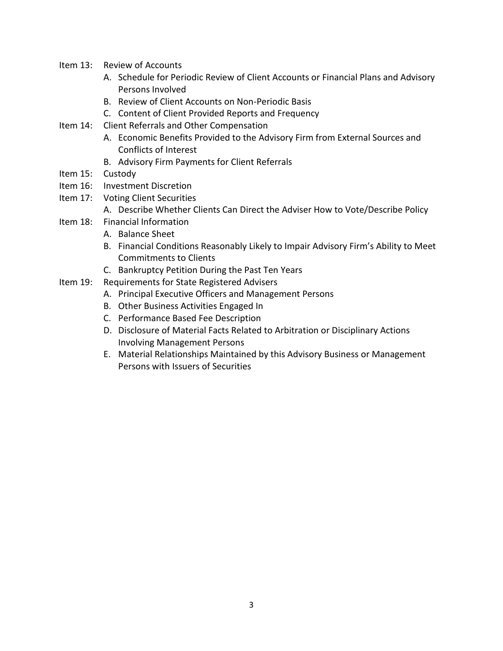- Item 13: Review of Accounts
	- A. Schedule for Periodic Review of Client Accounts or Financial Plans and Advisory Persons Involved
	- B. Review of Client Accounts on Non-Periodic Basis
	- C. Content of Client Provided Reports and Frequency
- Item 14: Client Referrals and Other Compensation
	- A. Economic Benefits Provided to the Advisory Firm from External Sources and Conflicts of Interest
	- B. Advisory Firm Payments for Client Referrals
- Item 15: Custody
- Item 16: Investment Discretion
- Item 17: Voting Client Securities
	- A. Describe Whether Clients Can Direct the Adviser How to Vote/Describe Policy
- Item 18: Financial Information
	- A. Balance Sheet
	- B. Financial Conditions Reasonably Likely to Impair Advisory Firm's Ability to Meet Commitments to Clients
	- C. Bankruptcy Petition During the Past Ten Years
- Item 19: Requirements for State Registered Advisers
	- A. Principal Executive Officers and Management Persons
	- B. Other Business Activities Engaged In
	- C. Performance Based Fee Description
	- D. Disclosure of Material Facts Related to Arbitration or Disciplinary Actions Involving Management Persons
	- E. Material Relationships Maintained by this Advisory Business or Management Persons with Issuers of Securities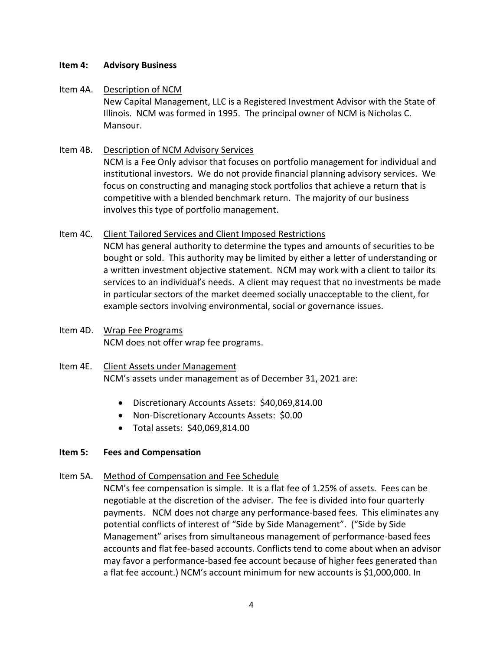#### **Item 4: Advisory Business**

#### Item 4A. Description of NCM

New Capital Management, LLC is a Registered Investment Advisor with the State of Illinois. NCM was formed in 1995. The principal owner of NCM is Nicholas C. Mansour.

### Item 4B. Description of NCM Advisory Services

NCM is a Fee Only advisor that focuses on portfolio management for individual and institutional investors. We do not provide financial planning advisory services. We focus on constructing and managing stock portfolios that achieve a return that is competitive with a blended benchmark return. The majority of our business involves this type of portfolio management.

### Item 4C. Client Tailored Services and Client Imposed Restrictions

NCM has general authority to determine the types and amounts of securities to be bought or sold. This authority may be limited by either a letter of understanding or a written investment objective statement. NCM may work with a client to tailor its services to an individual's needs. A client may request that no investments be made in particular sectors of the market deemed socially unacceptable to the client, for example sectors involving environmental, social or governance issues.

- Item 4D. Wrap Fee Programs NCM does not offer wrap fee programs.
- Item 4E. Client Assets under Management NCM's assets under management as of December 31, 2021 are:
	- Discretionary Accounts Assets: \$40,069,814.00
	- Non-Discretionary Accounts Assets: \$0.00
	- Total assets: \$40,069,814.00

### **Item 5: Fees and Compensation**

### Item 5A. Method of Compensation and Fee Schedule

NCM's fee compensation is simple. It is a flat fee of 1.25% of assets. Fees can be negotiable at the discretion of the adviser. The fee is divided into four quarterly payments. NCM does not charge any performance-based fees. This eliminates any potential conflicts of interest of "Side by Side Management". ("Side by Side Management" arises from simultaneous management of performance-based fees accounts and flat fee-based accounts. Conflicts tend to come about when an advisor may favor a performance-based fee account because of higher fees generated than a flat fee account.) NCM's account minimum for new accounts is \$1,000,000. In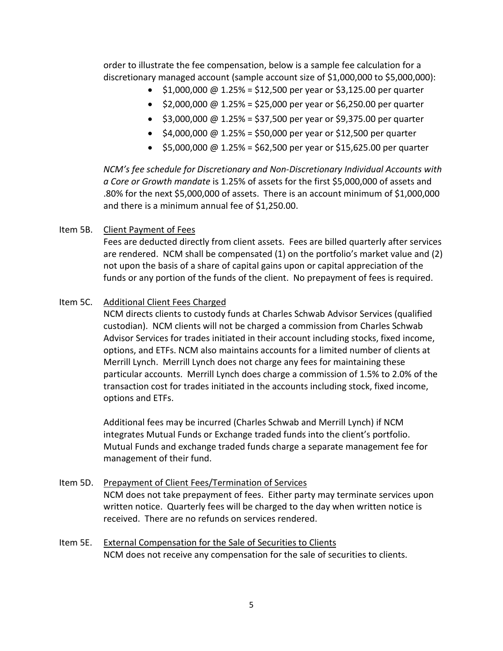order to illustrate the fee compensation, below is a sample fee calculation for a discretionary managed account (sample account size of \$1,000,000 to \$5,000,000):

- $$1,000,000 \text{ } @ 1.25\% = $12,500 \text{ per year or } $3,125.00 \text{ per quarter}$
- $$2,000,000 \text{ @ } 1.25\% = $25,000 \text{ per year or } $6,250.00 \text{ per quarter}$
- $$3,000,000 \text{ @ } 1.25\% = $37,500 \text{ per year or } $9,375.00 \text{ per quarter}$
- $$4,000,000 \text{ @ } 1.25\% = $50,000 \text{ per year or } $12,500 \text{ per quarter}$
- $$5,000,000$  @ 1.25% = \$62,500 per year or \$15,625.00 per quarter

*NCM's fee schedule for Discretionary and Non-Discretionary Individual Accounts with a Core or Growth mandate* is 1.25% of assets for the first \$5,000,000 of assets and .80% for the next \$5,000,000 of assets. There is an account minimum of \$1,000,000 and there is a minimum annual fee of \$1,250.00.

### Item 5B. Client Payment of Fees

Fees are deducted directly from client assets. Fees are billed quarterly after services are rendered. NCM shall be compensated (1) on the portfolio's market value and (2) not upon the basis of a share of capital gains upon or capital appreciation of the funds or any portion of the funds of the client. No prepayment of fees is required.

## Item 5C. Additional Client Fees Charged

NCM directs clients to custody funds at Charles Schwab Advisor Services (qualified custodian). NCM clients will not be charged a commission from Charles Schwab Advisor Services for trades initiated in their account including stocks, fixed income, options, and ETFs. NCM also maintains accounts for a limited number of clients at Merrill Lynch. Merrill Lynch does not charge any fees for maintaining these particular accounts. Merrill Lynch does charge a commission of 1.5% to 2.0% of the transaction cost for trades initiated in the accounts including stock, fixed income, options and ETFs.

Additional fees may be incurred (Charles Schwab and Merrill Lynch) if NCM integrates Mutual Funds or Exchange traded funds into the client's portfolio. Mutual Funds and exchange traded funds charge a separate management fee for management of their fund.

## Item 5D. Prepayment of Client Fees/Termination of Services NCM does not take prepayment of fees. Either party may terminate services upon written notice. Quarterly fees will be charged to the day when written notice is received. There are no refunds on services rendered.

Item 5E. External Compensation for the Sale of Securities to Clients NCM does not receive any compensation for the sale of securities to clients.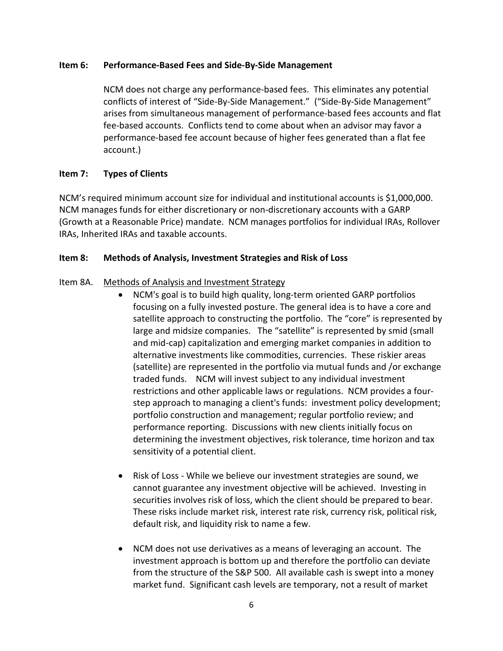### **Item 6: Performance-Based Fees and Side-By-Side Management**

NCM does not charge any performance-based fees. This eliminates any potential conflicts of interest of "Side-By-Side Management." ("Side-By-Side Management" arises from simultaneous management of performance-based fees accounts and flat fee-based accounts. Conflicts tend to come about when an advisor may favor a performance-based fee account because of higher fees generated than a flat fee account.)

### **Item 7: Types of Clients**

NCM's required minimum account size for individual and institutional accounts is \$1,000,000. NCM manages funds for either discretionary or non-discretionary accounts with a GARP (Growth at a Reasonable Price) mandate. NCM manages portfolios for individual IRAs, Rollover IRAs, Inherited IRAs and taxable accounts.

## **Item 8: Methods of Analysis, Investment Strategies and Risk of Loss**

## Item 8A. Methods of Analysis and Investment Strategy

- NCM's goal is to build high quality, long-term oriented GARP portfolios focusing on a fully invested posture. The general idea is to have a core and satellite approach to constructing the portfolio. The "core" is represented by large and midsize companies. The "satellite" is represented by smid (small and mid-cap) capitalization and emerging market companies in addition to alternative investments like commodities, currencies. These riskier areas (satellite) are represented in the portfolio via mutual funds and /or exchange traded funds. NCM will invest subject to any individual investment restrictions and other applicable laws or regulations. NCM provides a fourstep approach to managing a client's funds: investment policy development; portfolio construction and management; regular portfolio review; and performance reporting. Discussions with new clients initially focus on determining the investment objectives, risk tolerance, time horizon and tax sensitivity of a potential client.
- Risk of Loss While we believe our investment strategies are sound, we cannot guarantee any investment objective will be achieved. Investing in securities involves risk of loss, which the client should be prepared to bear. These risks include market risk, interest rate risk, currency risk, political risk, default risk, and liquidity risk to name a few.
- NCM does not use derivatives as a means of leveraging an account. The investment approach is bottom up and therefore the portfolio can deviate from the structure of the S&P 500. All available cash is swept into a money market fund. Significant cash levels are temporary, not a result of market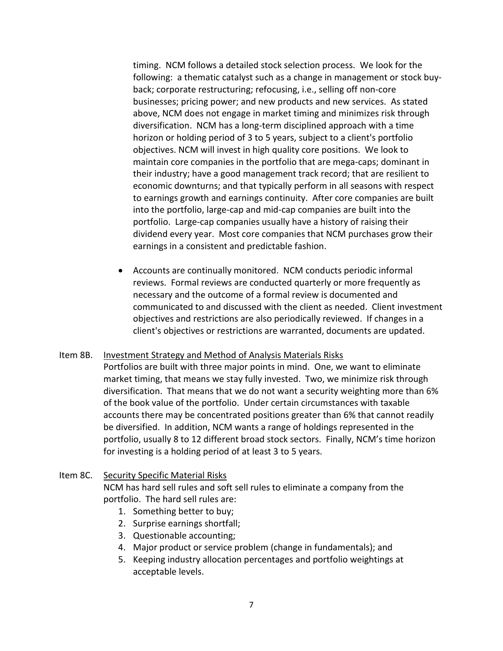timing. NCM follows a detailed stock selection process. We look for the following: a thematic catalyst such as a change in management or stock buyback; corporate restructuring; refocusing, i.e., selling off non-core businesses; pricing power; and new products and new services. As stated above, NCM does not engage in market timing and minimizes risk through diversification. NCM has a long-term disciplined approach with a time horizon or holding period of 3 to 5 years, subject to a client's portfolio objectives. NCM will invest in high quality core positions. We look to maintain core companies in the portfolio that are mega-caps; dominant in their industry; have a good management track record; that are resilient to economic downturns; and that typically perform in all seasons with respect to earnings growth and earnings continuity. After core companies are built into the portfolio, large-cap and mid-cap companies are built into the portfolio. Large-cap companies usually have a history of raising their dividend every year. Most core companies that NCM purchases grow their earnings in a consistent and predictable fashion.

• Accounts are continually monitored. NCM conducts periodic informal reviews. Formal reviews are conducted quarterly or more frequently as necessary and the outcome of a formal review is documented and communicated to and discussed with the client as needed. Client investment objectives and restrictions are also periodically reviewed. If changes in a client's objectives or restrictions are warranted, documents are updated.

### Item 8B. Investment Strategy and Method of Analysis Materials Risks

Portfolios are built with three major points in mind. One, we want to eliminate market timing, that means we stay fully invested. Two, we minimize risk through diversification. That means that we do not want a security weighting more than 6% of the book value of the portfolio. Under certain circumstances with taxable accounts there may be concentrated positions greater than 6% that cannot readily be diversified. In addition, NCM wants a range of holdings represented in the portfolio, usually 8 to 12 different broad stock sectors. Finally, NCM's time horizon for investing is a holding period of at least 3 to 5 years.

### Item 8C. Security Specific Material Risks

NCM has hard sell rules and soft sell rules to eliminate a company from the portfolio. The hard sell rules are:

- 1. Something better to buy;
- 2. Surprise earnings shortfall;
- 3. Questionable accounting;
- 4. Major product or service problem (change in fundamentals); and
- 5. Keeping industry allocation percentages and portfolio weightings at acceptable levels.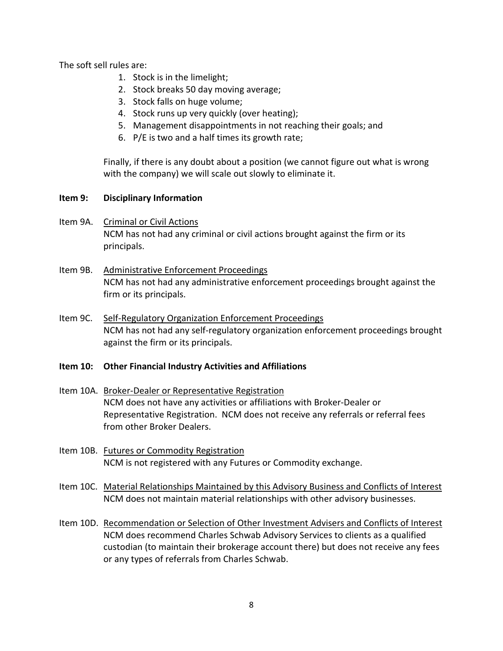The soft sell rules are:

- 1. Stock is in the limelight;
- 2. Stock breaks 50 day moving average;
- 3. Stock falls on huge volume;
- 4. Stock runs up very quickly (over heating);
- 5. Management disappointments in not reaching their goals; and
- 6. P/E is two and a half times its growth rate;

Finally, if there is any doubt about a position (we cannot figure out what is wrong with the company) we will scale out slowly to eliminate it.

### **Item 9: Disciplinary Information**

- Item 9A. Criminal or Civil Actions NCM has not had any criminal or civil actions brought against the firm or its principals.
- Item 9B. Administrative Enforcement Proceedings NCM has not had any administrative enforcement proceedings brought against the firm or its principals.
- Item 9C. Self-Regulatory Organization Enforcement Proceedings NCM has not had any self-regulatory organization enforcement proceedings brought against the firm or its principals.

### **Item 10: Other Financial Industry Activities and Affiliations**

- Item 10A. Broker-Dealer or Representative Registration NCM does not have any activities or affiliations with Broker-Dealer or Representative Registration. NCM does not receive any referrals or referral fees from other Broker Dealers.
- Item 10B. Futures or Commodity Registration NCM is not registered with any Futures or Commodity exchange.
- Item 10C. Material Relationships Maintained by this Advisory Business and Conflicts of Interest NCM does not maintain material relationships with other advisory businesses.
- Item 10D. Recommendation or Selection of Other Investment Advisers and Conflicts of Interest NCM does recommend Charles Schwab Advisory Services to clients as a qualified custodian (to maintain their brokerage account there) but does not receive any fees or any types of referrals from Charles Schwab.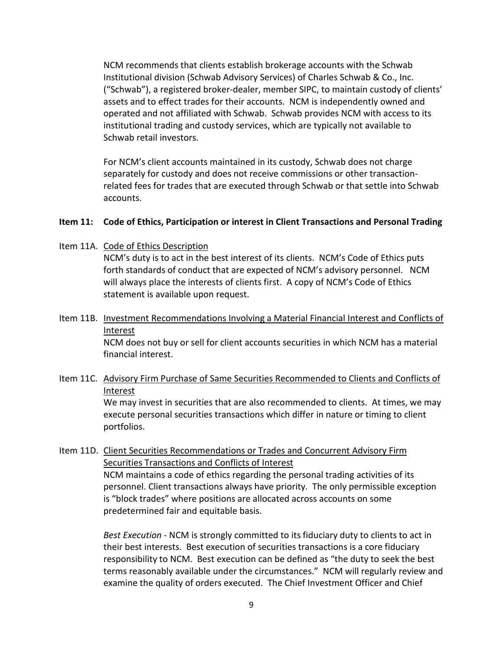NCM recommends that clients establish brokerage accounts with the Schwab Institutional division (Schwab Advisory Services) of Charles Schwab & Co., Inc. ("Schwab"), a registered broker-dealer, member SIPC, to maintain custody of clients' assets and to effect trades for their accounts. NCM is independently owned and operated and not affiliated with Schwab. Schwab provides NCM with access to its institutional trading and custody services, which are typically not available to Schwab retail investors.

For NCM's client accounts maintained in its custody, Schwab does not charge separately for custody and does not receive commissions or other transactionrelated fees for trades that are executed through Schwab or that settle into Schwab accounts.

#### **Item 11: Code of Ethics, Participation or interest in Client Transactions and Personal Trading**

Item 11A. Code of Ethics Description

NCM's duty is to act in the best interest of its clients. NCM's Code of Ethics puts forth standards of conduct that are expected of NCM's advisory personnel. NCM will always place the interests of clients first. A copy of NCM's Code of Ethics statement is available upon request.

Item 11B. Investment Recommendations Involving a Material Financial Interest and Conflicts of Interest

> NCM does not buy or sell for client accounts securities in which NCM has a material financial interest.

Item 11C. Advisory Firm Purchase of Same Securities Recommended to Clients and Conflicts of Interest

> We may invest in securities that are also recommended to clients. At times, we may execute personal securities transactions which differ in nature or timing to client portfolios.

Item 11D. Client Securities Recommendations or Trades and Concurrent Advisory Firm Securities Transactions and Conflicts of Interest NCM maintains a code of ethics regarding the personal trading activities of its personnel. Client transactions always have priority. The only permissible exception is "block trades" where positions are allocated across accounts on some

predetermined fair and equitable basis.

*Best Execution* - NCM is strongly committed to its fiduciary duty to clients to act in their best interests. Best execution of securities transactions is a core fiduciary responsibility to NCM. Best execution can be defined as "the duty to seek the best terms reasonably available under the circumstances." NCM will regularly review and examine the quality of orders executed. The Chief Investment Officer and Chief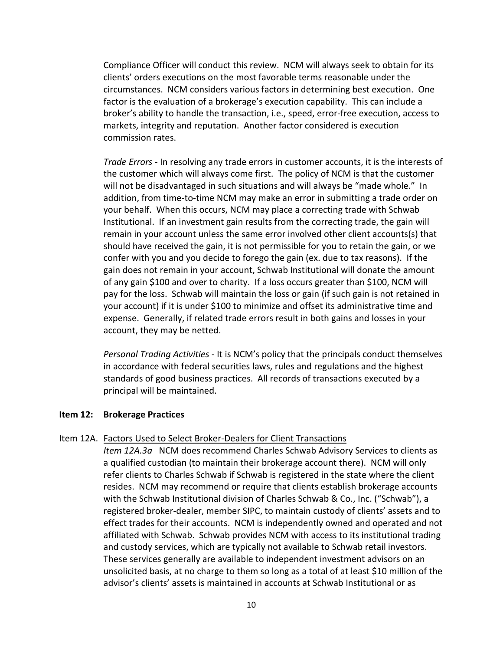Compliance Officer will conduct this review. NCM will always seek to obtain for its clients' orders executions on the most favorable terms reasonable under the circumstances. NCM considers various factors in determining best execution. One factor is the evaluation of a brokerage's execution capability. This can include a broker's ability to handle the transaction, i.e., speed, error-free execution, access to markets, integrity and reputation. Another factor considered is execution commission rates.

*Trade Errors* - In resolving any trade errors in customer accounts, it is the interests of the customer which will always come first. The policy of NCM is that the customer will not be disadvantaged in such situations and will always be "made whole." In addition, from time-to-time NCM may make an error in submitting a trade order on your behalf. When this occurs, NCM may place a correcting trade with Schwab Institutional. If an investment gain results from the correcting trade, the gain will remain in your account unless the same error involved other client accounts(s) that should have received the gain, it is not permissible for you to retain the gain, or we confer with you and you decide to forego the gain (ex. due to tax reasons). If the gain does not remain in your account, Schwab Institutional will donate the amount of any gain \$100 and over to charity. If a loss occurs greater than \$100, NCM will pay for the loss. Schwab will maintain the loss or gain (if such gain is not retained in your account) if it is under \$100 to minimize and offset its administrative time and expense. Generally, if related trade errors result in both gains and losses in your account, they may be netted.

*Personal Trading Activities* - It is NCM's policy that the principals conduct themselves in accordance with federal securities laws, rules and regulations and the highest standards of good business practices. All records of transactions executed by a principal will be maintained.

#### **Item 12: Brokerage Practices**

#### Item 12A. Factors Used to Select Broker-Dealers for Client Transactions

*Item 12A.3a* NCM does recommend Charles Schwab Advisory Services to clients as a qualified custodian (to maintain their brokerage account there). NCM will only refer clients to Charles Schwab if Schwab is registered in the state where the client resides. NCM may recommend or require that clients establish brokerage accounts with the Schwab Institutional division of Charles Schwab & Co., Inc. ("Schwab"), a registered broker-dealer, member SIPC, to maintain custody of clients' assets and to effect trades for their accounts. NCM is independently owned and operated and not affiliated with Schwab. Schwab provides NCM with access to its institutional trading and custody services, which are typically not available to Schwab retail investors. These services generally are available to independent investment advisors on an unsolicited basis, at no charge to them so long as a total of at least \$10 million of the advisor's clients' assets is maintained in accounts at Schwab Institutional or as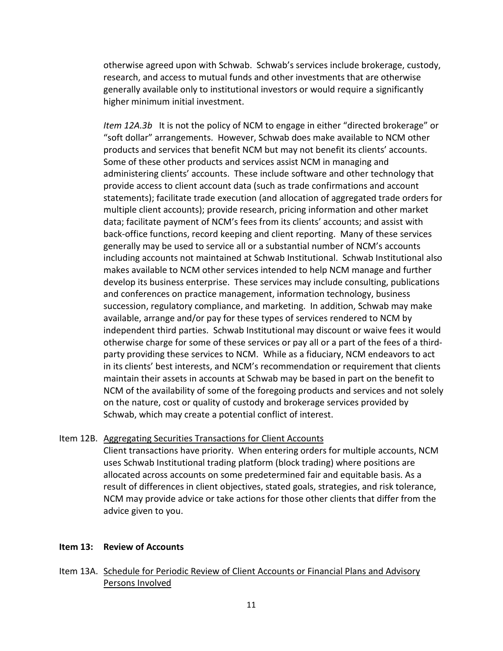otherwise agreed upon with Schwab. Schwab's services include brokerage, custody, research, and access to mutual funds and other investments that are otherwise generally available only to institutional investors or would require a significantly higher minimum initial investment.

*Item 12A.3b* It is not the policy of NCM to engage in either "directed brokerage" or "soft dollar" arrangements. However, Schwab does make available to NCM other products and services that benefit NCM but may not benefit its clients' accounts. Some of these other products and services assist NCM in managing and administering clients' accounts. These include software and other technology that provide access to client account data (such as trade confirmations and account statements); facilitate trade execution (and allocation of aggregated trade orders for multiple client accounts); provide research, pricing information and other market data; facilitate payment of NCM's fees from its clients' accounts; and assist with back-office functions, record keeping and client reporting. Many of these services generally may be used to service all or a substantial number of NCM's accounts including accounts not maintained at Schwab Institutional. Schwab Institutional also makes available to NCM other services intended to help NCM manage and further develop its business enterprise. These services may include consulting, publications and conferences on practice management, information technology, business succession, regulatory compliance, and marketing. In addition, Schwab may make available, arrange and/or pay for these types of services rendered to NCM by independent third parties. Schwab Institutional may discount or waive fees it would otherwise charge for some of these services or pay all or a part of the fees of a thirdparty providing these services to NCM. While as a fiduciary, NCM endeavors to act in its clients' best interests, and NCM's recommendation or requirement that clients maintain their assets in accounts at Schwab may be based in part on the benefit to NCM of the availability of some of the foregoing products and services and not solely on the nature, cost or quality of custody and brokerage services provided by Schwab, which may create a potential conflict of interest.

#### Item 12B. Aggregating Securities Transactions for Client Accounts

Client transactions have priority. When entering orders for multiple accounts, NCM uses Schwab Institutional trading platform (block trading) where positions are allocated across accounts on some predetermined fair and equitable basis. As a result of differences in client objectives, stated goals, strategies, and risk tolerance, NCM may provide advice or take actions for those other clients that differ from the advice given to you.

#### **Item 13: Review of Accounts**

Item 13A. Schedule for Periodic Review of Client Accounts or Financial Plans and Advisory Persons Involved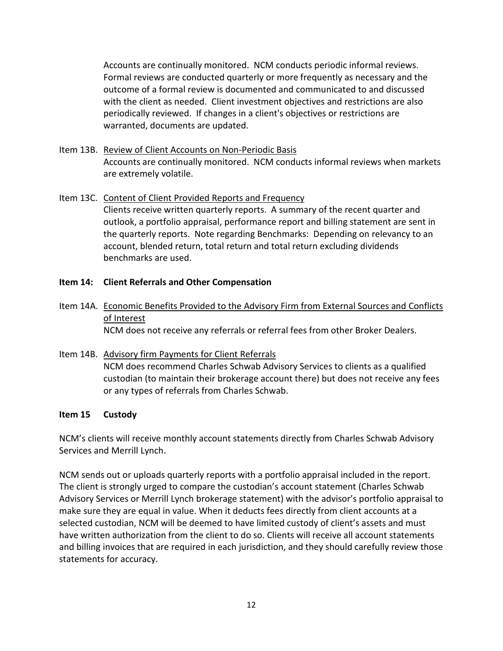Accounts are continually monitored. NCM conducts periodic informal reviews. Formal reviews are conducted quarterly or more frequently as necessary and the outcome of a formal review is documented and communicated to and discussed with the client as needed. Client investment objectives and restrictions are also periodically reviewed. If changes in a client's objectives or restrictions are warranted, documents are updated.

- Item 13B. Review of Client Accounts on Non-Periodic Basis Accounts are continually monitored. NCM conducts informal reviews when markets are extremely volatile.
- Item 13C. Content of Client Provided Reports and Frequency Clients receive written quarterly reports. A summary of the recent quarter and outlook, a portfolio appraisal, performance report and billing statement are sent in the quarterly reports. Note regarding Benchmarks: Depending on relevancy to an account, blended return, total return and total return excluding dividends benchmarks are used.

### **Item 14: Client Referrals and Other Compensation**

Item 14A. Economic Benefits Provided to the Advisory Firm from External Sources and Conflicts of Interest

NCM does not receive any referrals or referral fees from other Broker Dealers.

#### Item 14B. Advisory firm Payments for Client Referrals

NCM does recommend Charles Schwab Advisory Services to clients as a qualified custodian (to maintain their brokerage account there) but does not receive any fees or any types of referrals from Charles Schwab.

#### **Item 15 Custody**

NCM's clients will receive monthly account statements directly from Charles Schwab Advisory Services and Merrill Lynch.

NCM sends out or uploads quarterly reports with a portfolio appraisal included in the report. The client is strongly urged to compare the custodian's account statement (Charles Schwab Advisory Services or Merrill Lynch brokerage statement) with the advisor's portfolio appraisal to make sure they are equal in value. When it deducts fees directly from client accounts at a selected custodian, NCM will be deemed to have limited custody of client's assets and must have written authorization from the client to do so. Clients will receive all account statements and billing invoices that are required in each jurisdiction, and they should carefully review those statements for accuracy.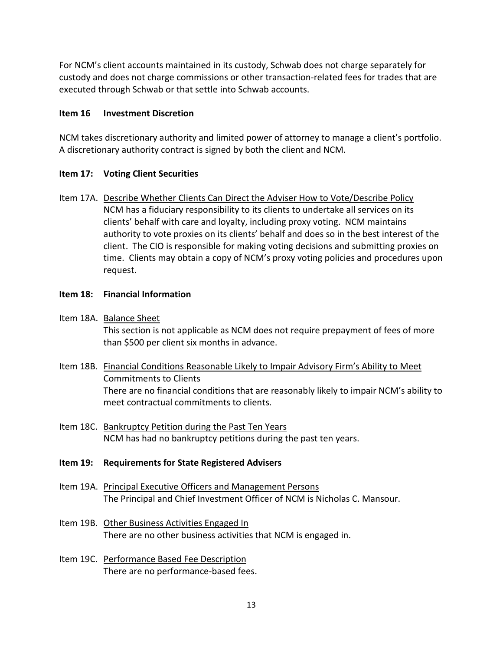For NCM's client accounts maintained in its custody, Schwab does not charge separately for custody and does not charge commissions or other transaction-related fees for trades that are executed through Schwab or that settle into Schwab accounts.

## **Item 16 Investment Discretion**

NCM takes discretionary authority and limited power of attorney to manage a client's portfolio. A discretionary authority contract is signed by both the client and NCM.

## **Item 17: Voting Client Securities**

Item 17A. Describe Whether Clients Can Direct the Adviser How to Vote/Describe Policy NCM has a fiduciary responsibility to its clients to undertake all services on its clients' behalf with care and loyalty, including proxy voting. NCM maintains authority to vote proxies on its clients' behalf and does so in the best interest of the client. The CIO is responsible for making voting decisions and submitting proxies on time. Clients may obtain a copy of NCM's proxy voting policies and procedures upon request.

### **Item 18: Financial Information**

Item 18A. Balance Sheet

This section is not applicable as NCM does not require prepayment of fees of more than \$500 per client six months in advance.

# Item 18B. Financial Conditions Reasonable Likely to Impair Advisory Firm's Ability to Meet Commitments to Clients There are no financial conditions that are reasonably likely to impair NCM's ability to meet contractual commitments to clients.

Item 18C. Bankruptcy Petition during the Past Ten Years NCM has had no bankruptcy petitions during the past ten years.

### **Item 19: Requirements for State Registered Advisers**

- Item 19A. Principal Executive Officers and Management Persons The Principal and Chief Investment Officer of NCM is Nicholas C. Mansour.
- Item 19B. Other Business Activities Engaged In There are no other business activities that NCM is engaged in.
- Item 19C. Performance Based Fee Description There are no performance-based fees.